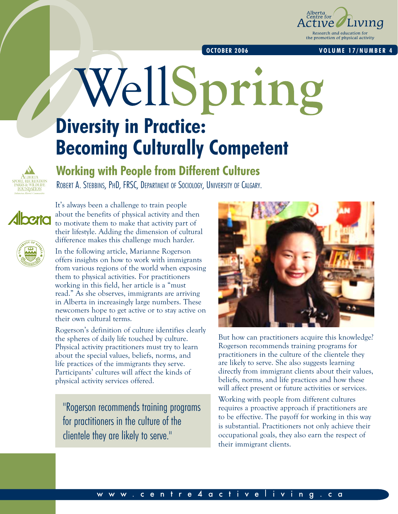

#### **OCTOBER 2006 VOLUME 17/NUMBER 4**

# WellSpring **Diversity in Practice: Becoming Culturally Competent**



# **Working with People from Different Cultures**

Robert A. Stebbins, PhD, FRSC, Department of Sociology, University of Calgary.



It's always been a challenge to train people about the benefits of physical activity and then to motivate them to make that activity part of their lifestyle. Adding the dimension of cultural difference makes this challenge much harder.

In the following article, Marianne Rogerson offers insights on how to work with immigrants from various regions of the world when exposing them to physical activities. For practitioners working in this field, her article is a "must read." As she observes, immigrants are arriving in Alberta in increasingly large numbers. These newcomers hope to get active or to stay active on their own cultural terms.

Rogerson's definition of culture identifies clearly the spheres of daily life touched by culture. Physical activity practitioners must try to learn about the special values, beliefs, norms, and life practices of the immigrants they serve. Participants' cultures will affect the kinds of physical activity services offered.

"Rogerson recommends training programs for practitioners in the culture of the clientele they are likely to serve."



But how can practitioners acquire this knowledge? Rogerson recommends training programs for practitioners in the culture of the clientele they are likely to serve. She also suggests learning directly from immigrant clients about their values, beliefs, norms, and life practices and how these will affect present or future activities or services.

Working with people from different cultures requires a proactive approach if practitioners are to be effective. The payoff for working in this way is substantial. Practitioners not only achieve their occupational goals, they also earn the respect of their immigrant clients.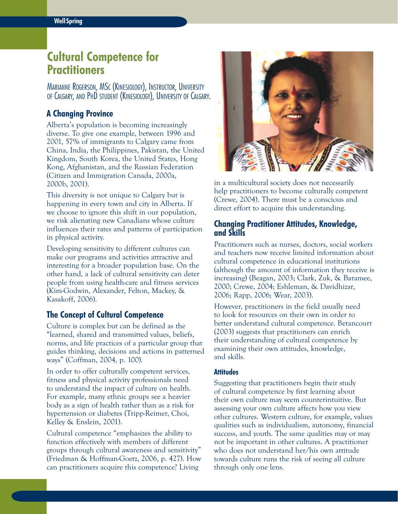# **Cultural Competence for Practitioners**

Marianne Rogerson, MSc (Kinesiology), Instructor, University of Calgary, and PhD student (Kinesiology), University of Calgary.

# **A Changing Province**

Alberta's population is becoming increasingly diverse. To give one example, between 1996 and 2001, 57% of immigrants to Calgary came from China, India, the Philippines, Pakistan, the United Kingdom, South Korea, the United States, Hong Kong, Afghanistan, and the Russian Federation (Citizen and Immigration Canada, 2000a, 2000b, 2001).

This diversity is not unique to Calgary but is happening in every town and city in Alberta. If we choose to ignore this shift in our population, we risk alienating new Canadians whose culture influences their rates and patterns of participation in physical activity.

Developing sensitivity to different cultures can make our programs and activities attractive and interesting for a broader population base. On the other hand, a lack of cultural sensitivity can deter people from using health-care and fitness services (Kim-Godwin, Alexander, Felton, Mackey, & Kasakoff, 2006).

# **The Concept of Cultural Competence**

Culture is complex but can be defined as the "learned, shared and transmitted values, beliefs, norms, and life practices of a particular group that guides thinking, decisions and actions in patterned ways" (Coffman, 2004, p. 100).

In order to offer culturally competent services, fitness and physical activity professionals need to understand the impact of culture on health. For example, many ethnic groups see a heavier body as a sign of health rather than as a risk for hypertension or diabetes (Tripp-Reimer, Choi, Kelley & Enslein, 2001).

Cultural competence "emphasizes the ability to function effectively with members of different groups through cultural awareness and sensitivity" (Friedman & Hoffman-Goetz, 2006, p. 427). How can practitioners acquire this competence? Living



in a multicultural society does not necessarily help practitioners to become culturally competent (Crewe, 2004). There must be a conscious and direct effort to acquire this understanding.

## **Changing Practitioner Attitudes, Knowledge, and Skills**

Practitioners such as nurses, doctors, social workers and teachers now receive limited information about cultural competence in educational institutions (although the amount of information they receive is increasing) (Beagan, 2003; Clark, Zuk, & Baramee, 2000; Crewe, 2004; Eshleman, & Davidhizar, 2006; Rapp, 2006; Wear, 2003).

However, practitioners in the field usually need to look for resources on their own in order to better understand cultural competence. Betancourt (2003) suggests that practitioners can enrich their understanding of cultural competence by examining their own attitudes, knowledge, and skills.

#### **Attitudes**

Suggesting that practitioners begin their study of cultural competence by first learning about their own culture may seem counterintuitive. But assessing your own culture affects how you view other cultures. Western culture, for example, values qualities such as individualism, autonomy, financial success, and youth. The same qualities may or may not be important in other cultures. A practitioner who does not understand her/his own attitude towards culture runs the risk of seeing all culture through only one lens.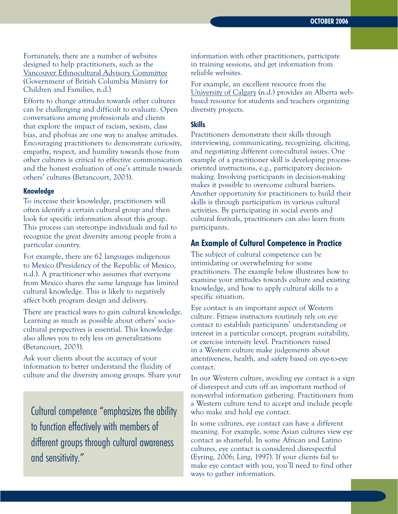Fortunately, there are a number of websites designed to help practitioners, such as the [Vancouver Ethnocultural Advisory Committee](http://www.mcf.gov.bc.ca/publications/cultural_competency/assessment_tool/tool_introduction2.htm) (Government of British Columbia Ministry for Children and Families, n.d.)

Efforts to change attitudes towards other cultures can be challenging and difficult to evaluate. Open conversations among professionals and clients that explore the impact of racism, sexism, class bias, and phobias are one way to analyse attitudes. Encouraging practitioners to demonstrate curiosity, empathy, respect, and humility towards those from other cultures is critical to effective communication and the honest evaluation of one's attitude towards others' cultures (Betancourt, 2003).

#### **Knowledge**

To increase their knowledge, practitioners will often identify a certain cultural group and then look for specific information about this group. This process can stereotype individuals and fail to recognize the great diversity among people from a particular country.

For example, there are 62 languages indigenous to Mexico (Presidency of the Republic of Mexico, n.d.). A practitioner who assumes that everyone from Mexico shares the same language has limited cultural knowledge. This is likely to negatively affect both program design and delivery.

There are practical ways to gain cultural knowledge. Learning as much as possible about others' sociocultural perspectives is essential. This knowledge also allows you to rely less on generalizations (Betancourt, 2003).

Ask your clients about the accuracy of your information to better understand the fluidity of culture and the diversity among groups. Share your

Cultural competence "emphasizes the ability to function effectively with members of different groups through cultural awareness and sensitivity."

information with other practitioners, participate in training sessions, and get information from reliable websites.

For example, an excellent resource from the [University of Calgary](http://www.ucalgary.ca/~dtoolkit/albertawebbasedresources.htm) (n.d.) provides an Alberta webbased resource for students and teachers organizing diversity projects.

#### **Skills**

Practitioners demonstrate their skills through interviewing, communicating, recognizing, eliciting, and negotiating different core-cultural issues. One example of a practitioner skill is developing processoriented instructions, e.g., participatory decisionmaking. Involving participants in decision-making makes it possible to overcome cultural barriers. Another opportunity for practitioners to build their skills is through participation in various cultural activities. By participating in social events and cultural festivals, practitioners can also learn from participants.

### **An Example of Cultural Competence in Practice**

The subject of cultural competence can be intimidating or overwhelming for some practitioners. The example below illustrates how to examine your attitudes towards culture and existing knowledge, and how to apply cultural skills to a specific situation.

Eye contact is an important aspect of Western culture. Fitness instructors routinely rely on eye contact to establish participants' understanding or interest in a particular concept, program suitability, or exercise intensity level. Practitioners raised in a Western culture make judgements about attentiveness, health, and safety based on eye-to-eye contact.

In our Western culture, avoiding eye contact is a sign of disrespect and cuts off an important method of non-verbal information gathering. Practitioners from a Western culture tend to accept and include people who make and hold eye contact.

In some cultures, eye contact can have a different meaning. For example, some Asian cultures view eye contact as shameful. In some African and Latino cultures, eye contact is considered disrespectful (Eyring, 2006; Ling, 1997). If your clients fail to make eye contact with you, you'll need to find other ways to gather information.